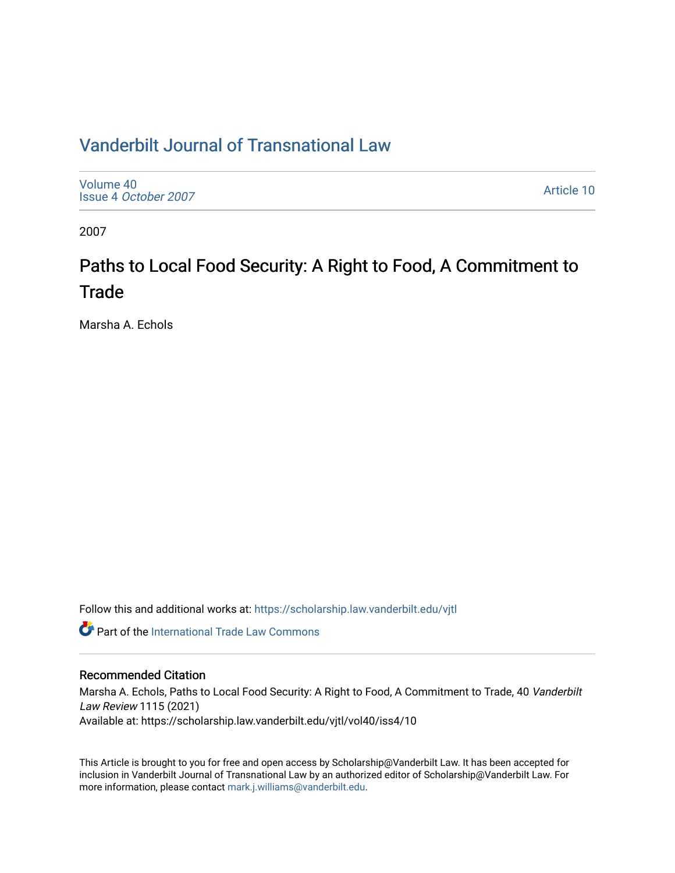## [Vanderbilt Journal of Transnational Law](https://scholarship.law.vanderbilt.edu/vjtl)

[Volume 40](https://scholarship.law.vanderbilt.edu/vjtl/vol40) Issue 4 [October 2007](https://scholarship.law.vanderbilt.edu/vjtl/vol40/iss4)

[Article 10](https://scholarship.law.vanderbilt.edu/vjtl/vol40/iss4/10) 

2007

# Paths to Local Food Security: A Right to Food, A Commitment to **Trade**

Marsha A. Echols

Follow this and additional works at: [https://scholarship.law.vanderbilt.edu/vjtl](https://scholarship.law.vanderbilt.edu/vjtl?utm_source=scholarship.law.vanderbilt.edu%2Fvjtl%2Fvol40%2Fiss4%2F10&utm_medium=PDF&utm_campaign=PDFCoverPages) 

**C** Part of the [International Trade Law Commons](http://network.bepress.com/hgg/discipline/848?utm_source=scholarship.law.vanderbilt.edu%2Fvjtl%2Fvol40%2Fiss4%2F10&utm_medium=PDF&utm_campaign=PDFCoverPages)

### Recommended Citation

Marsha A. Echols, Paths to Local Food Security: A Right to Food, A Commitment to Trade, 40 Vanderbilt Law Review 1115 (2021) Available at: https://scholarship.law.vanderbilt.edu/vjtl/vol40/iss4/10

This Article is brought to you for free and open access by Scholarship@Vanderbilt Law. It has been accepted for inclusion in Vanderbilt Journal of Transnational Law by an authorized editor of Scholarship@Vanderbilt Law. For more information, please contact [mark.j.williams@vanderbilt.edu](mailto:mark.j.williams@vanderbilt.edu).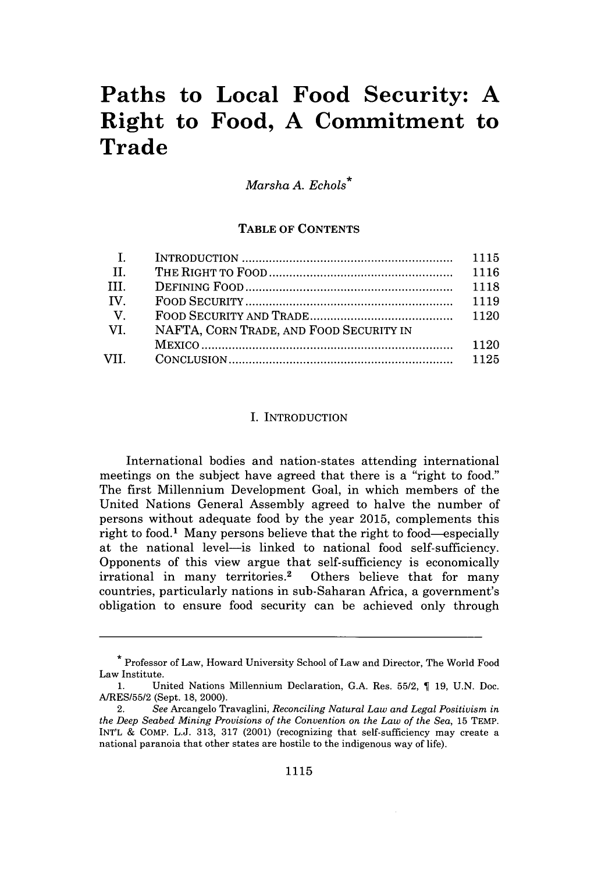# **Paths to Local Food Security: A Right to Food, A Commitment to Trade**

*Marsha A. Echols\**

#### TABLE OF **CONTENTS**

|                                         | 1115 |
|-----------------------------------------|------|
|                                         | 1116 |
|                                         | 1118 |
|                                         | 1119 |
|                                         | 1120 |
| NAFTA, CORN TRADE, AND FOOD SECURITY IN |      |
|                                         | 1120 |
|                                         | 1125 |
|                                         |      |

#### I. INTRODUCTION

International bodies and nation-states attending international meetings on the subject have agreed that there is a "right to food." The first Millennium Development Goal, in which members of the United Nations General Assembly agreed to halve the number of persons without adequate food by the year 2015, complements this right to food.<sup>1</sup> Many persons believe that the right to food—especially at the national level-is linked to national food self-sufficiency. Opponents of this view argue that self-sufficiency is economically irrational in many territories.<sup>2</sup> Others believe that for many countries, particularly nations in sub-Saharan Africa, a government's obligation to ensure food security can be achieved only through

**<sup>\*</sup>** Professor of Law, Howard University School of Law and Director, The World Food Law Institute.

<sup>1.</sup> United Nations Millennium Declaration, G.A. Res. 55/2, ¶ 19, U.N. Doc. A/RES/55/2 (Sept. 18, 2000).

<sup>2.</sup> *See* Arcangelo Travaglini, *Reconciling Natural Law and Legal Positivism in the Deep Seabed Mining Provisions of the Convention on the Law of the Sea,* 15 TEMP. INT'L & COMP. L.J. 313, 317 (2001) (recognizing that self-sufficiency may create a national paranoia that other states are hostile to the indigenous way of life).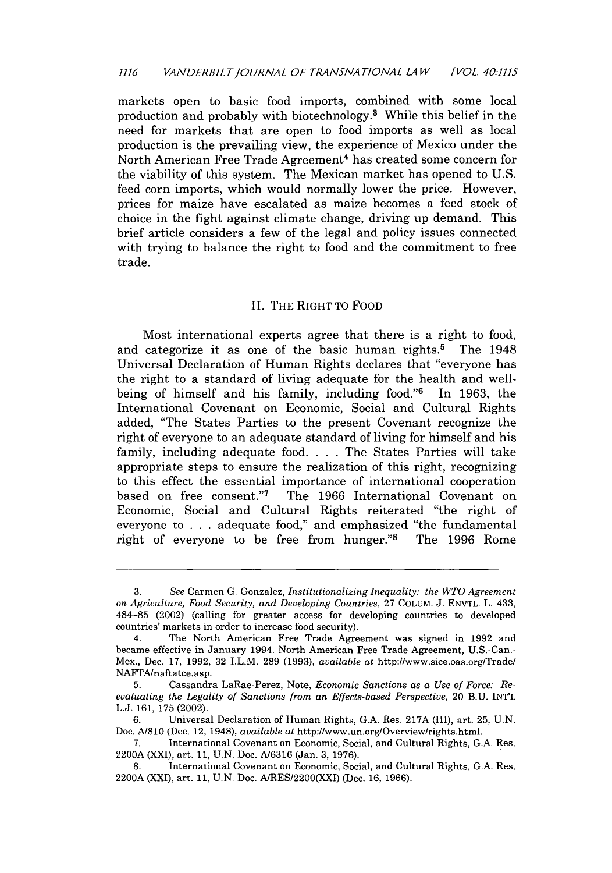markets open to basic food imports, combined with some local production and probably with biotechnology.3 While this belief in the need for markets that are open to food imports as well as local production is the prevailing view, the experience of Mexico under the North American Free Trade Agreement<sup>4</sup> has created some concern for the viability of this system. The Mexican market has opened to U.S. feed corn imports, which would normally lower the price. However, prices for maize have escalated as maize becomes a feed stock of choice in the fight against climate change, driving up demand. This brief article considers a few of the legal and policy issues connected with trying to balance the right to food and the commitment to free trade.

#### II. THE RIGHT TO FOOD

Most international experts agree that there is a right to food, and categorize it as one of the basic human rights.<sup>5</sup> The  $1948$ Universal Declaration of Human Rights declares that "everyone has the right to a standard of living adequate for the health and wellbeing of himself and his family, including food."<sup>6</sup> In 1963, the International Covenant on Economic, Social and Cultural Rights added, "The States Parties to the present Covenant recognize the right of everyone to an adequate standard of living for himself and his family, including adequate food. . **.** . The States Parties will take appropriate steps to ensure the realization of this right, recognizing to this effect the essential importance of international cooperation based on free consent."7 The 1966 International Covenant on Economic, Social and Cultural Rights reiterated "the right of everyone to . . . adequate food," and emphasized "the fundamental right of everyone to be free from hunger."<sup>8</sup> The 1996 Rome

<sup>3.</sup> *See* Carmen G. Gonzalez, *Institutionalizing Inequality: the WTO Agreement on Agriculture, Food Security, and Developing Countries,* 27 COLUM. J. ENVTL. L. 433, 484-85 (2002) (calling for greater access for developing countries to developed countries' markets in order to increase food security).

<sup>4.</sup> The North American Free Trade Agreement was signed in 1992 and became effective in January 1994. North American Free Trade Agreement, U.S.-Can.- Mex., Dec. 17, 1992, 32 I.L.M. 289 (1993), *available at* http://www.sice.oas.org/Trade/ NAFTA/naftatce.asp.

<sup>5.</sup> Cassandra LaRae-Perez, Note, *Economic Sanctions as a Use of Force: Reevaluating the Legality of Sanctions from an Effects-based Perspective,* 20 B.U. INT'L L.J. 161, 175 (2002).

<sup>6.</sup> Universal Declaration of Human Rights, G.A. Res. 217A (III), art. 25, U.N. Doc. A/810 (Dec. 12, 1948), *available at* http://www.un.org/Overview/rights.html.

<sup>7.</sup> International Covenant on Economic, Social, and Cultural Rights, **G.A.** Res. 2200A (XXI), art. 11, U.N. Doc. A/6316 (Jan. 3, 1976).

<sup>8.</sup> International Covenant on Economic, Social, and Cultural Rights, G.A. Res. 2200A (XXI), art. 11, U.N. Doc. A/RES/2200(XXI) (Dec. 16, 1966).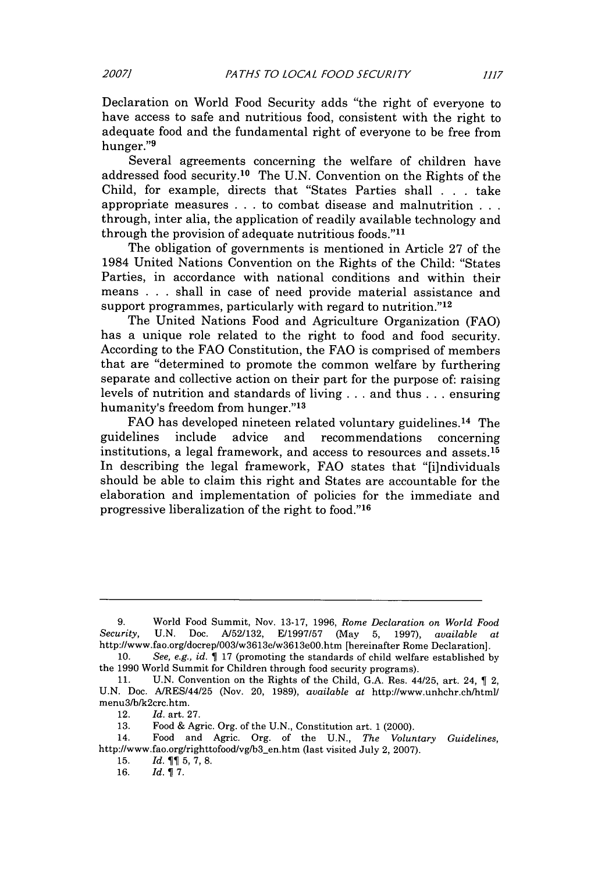*2007]*

Declaration on World Food Security adds "the right of everyone to have access to safe and nutritious food, consistent with the right to adequate food and the fundamental right of everyone to be free from hunger."9

Several agreements concerning the welfare of children have addressed food security.<sup>10</sup> The U.N. Convention on the Rights of the Child, for example, directs that "States Parties shall . . . take appropriate measures .. .to combat disease and malnutrition **.. .** through, inter alia, the application of readily available technology and through the provision of adequate nutritious foods."11

The obligation of governments is mentioned in Article 27 of the 1984 United Nations Convention on the Rights of the Child: "States Parties, in accordance with national conditions and within their means . . . shall in case of need provide material assistance and support programmes, particularly with regard to nutrition."<sup>12</sup>

The United Nations Food and Agriculture Organization (FAO) has a unique role related to the right to food and food security. According to the FAO Constitution, the FAO is comprised of members that are "determined to promote the common welfare by furthering separate and collective action on their part for the purpose of: raising levels of nutrition and standards of living  $\ldots$  and thus  $\ldots$  ensuring humanity's freedom from hunger."<sup>13</sup>

FAO has developed nineteen related voluntary guidelines. 14 The guidelines include advice and recommendations concerning institutions, a legal framework, and access to resources and assets. <sup>15</sup> In describing the legal framework, FAO states that "[i]ndividuals should be able to claim this right and States are accountable for the elaboration and implementation of policies for the immediate and progressive liberalization of the right to food."'16

12. *Id.* art. 27.

<sup>9.</sup> World Food Summit, Nov. 13-17, 1996, *Rome Declaration on World Food Security,* U.N. Doc. A/52/132, E/1997/57 (May 5, 1997), *available at* http://www.fao.org/docrep/OO3/w3613e/w3613eOO.htm [hereinafter Rome Declaration].

<sup>10.</sup> *See, e.g., id.* 7 17 (promoting the standards of child welfare established by the 1990 World Summit for Children through food security programs).

<sup>11.</sup> U.N. Convention on the Rights of the Child, G.A. Res. 44/25, art. 24,  $\parallel$  2, U.N. Doc. A/RES/44/25 (Nov. 20, 1989), *available at* http://www.unhchr.ch/html/ menu3/b/k2crc.htm.

<sup>13.</sup> Food & Agric. Org. of the U.N., Constitution art. 1 (2000).

<sup>14.</sup> Food and Agric. Org. of the U.N., *The Voluntary Guidelines,* http://www.fao.org/righttofood/vg/b3\_en.htm (last visited July 2, 2007).

<sup>15.</sup>  $Id. \P \P 5, 7, 8.$ 

<sup>16.</sup>  $Id. \P 7.$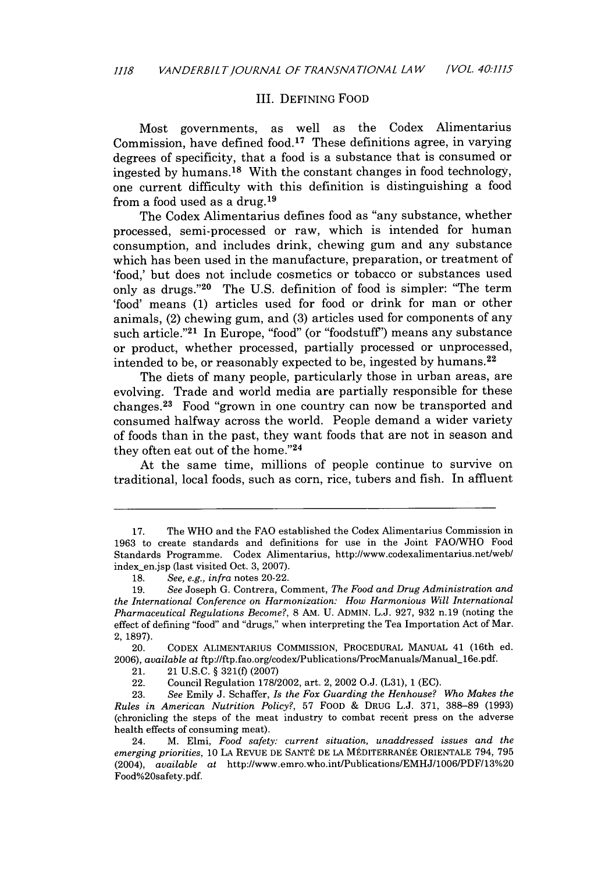#### III. DEFINING FOOD

Most governments, as well as the Codex Alimentarius Commission, have defined food.<sup>17</sup> These definitions agree, in varying degrees of specificity, that a food is a substance that is consumed or ingested by humans.<sup>18</sup> With the constant changes in food technology, one current difficulty with this definition is distinguishing a food from a food used as a drug. <sup>19</sup>

The Codex Alimentarius defines food as "any substance, whether processed, semi-processed or raw, which is intended for human consumption, and includes drink, chewing gum and any substance which has been used in the manufacture, preparation, or treatment of 'food,' but does not include cosmetics or tobacco or substances used only as drugs."20 The U.S. definition of food is simpler: "The term 'food' means (1) articles used for food or drink for man or other animals, (2) chewing gum, and (3) articles used for components of any such article."<sup>21</sup> In Europe, "food" (or "foodstuff") means any substance or product, whether processed, partially processed or unprocessed, intended to be, or reasonably expected to be, ingested by humans. $^{22}$ 

The diets of many people, particularly those in urban areas, are evolving. Trade and world media are partially responsible for these changes.23 Food "grown in one country can now be transported and consumed halfway across the world. People demand a wider variety of foods than in the past, they want foods that are not in season and they often eat out of the home."24

At the same time, millions of people continue to survive on traditional, local foods, such as corn, rice, tubers and fish. In affluent

20. CODEX ALIMENTARIUS COMMISSION, PROCEDURAL MANUAL 41 (16th ed. 2006), *available at* ftp://ftp.fao.org/codex/Publications/ProcManuals/Manual-16e.pdf.

22. Council Regulation 178/2002, art. 2, 2002 O.J. (L31), 1 (EC).

23. *See* Emily J. Schaffer, *Is the Fox Guarding the Henhouse? Who Makes the Rules in American Nutrition Policy?,* 57 FOOD & DRUG L.J. 371, 388-89 (1993) (chronicling the steps of the meat industry to combat recent press on the adverse health effects of consuming meat).

<sup>17.</sup> The WHO and the **FAO** established the Codex Alimentarius Commission in 1963 to create standards and definitions for use in the Joint FAO/WHO Food Standards Programme. Codex Alimentarius, http://www.codexalimentarius.net/web/ index\_en.jsp (last visited Oct. 3, 2007).

<sup>18.</sup> *See, e.g., infra* notes 20-22.

<sup>19.</sup> *See* Joseph G. Contrera, Comment, *The Food and Drug Administration and the International Conference on Harmonization: How Harmonious Will International Pharmaceutical Regulations Become?,* 8 AM. U. ADMIN. L.J. 927, 932 n.19 (noting the effect of defining "food" and "drugs," when interpreting the Tea Importation Act of Mar. 2, 1897).

<sup>21. 21</sup> U.S.C. § 321(f) (2007)

<sup>24.</sup> M. Elmi, *Food safety: current situation, unaddressed issues and the* emerging priorities, 10 LA REVUE DE SANTÉ DE LA MÉDITERRANÉE ORIENTALE 794, 795 (2004), *available at* http://www.emro.who.int/Publications/EMHJ/1006/PDF/13%20 Food%20safety.pdf.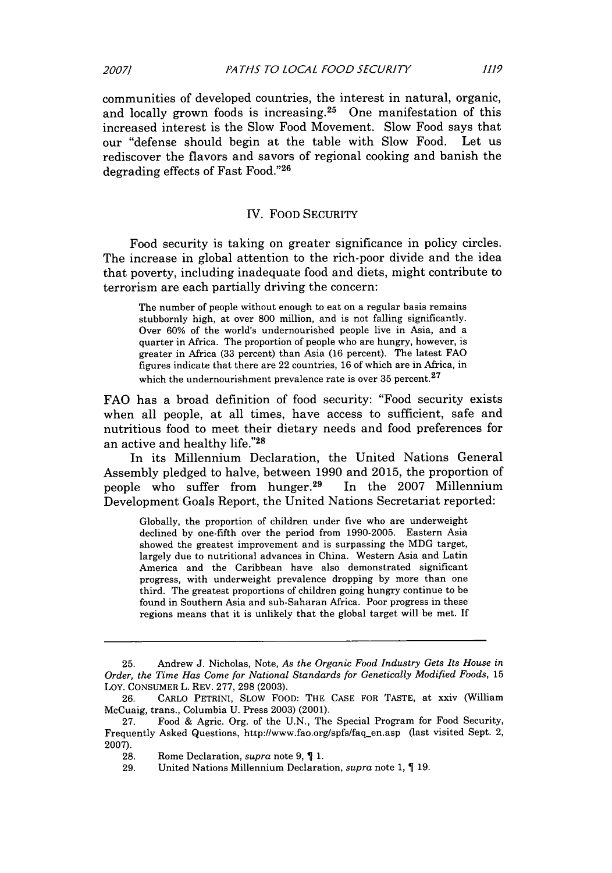communities of developed countries, the interest in natural, organic, and locally grown foods is increasing.<sup>25</sup> One manifestation of this increased interest is the Slow Food Movement. Slow Food says that our "defense should begin at the table with Slow Food. Let us rediscover the flavors and savors of regional cooking and banish the degrading effects of Fast Food."26

### IV. FOOD SECURITY

Food security is taking on greater significance in policy circles. The increase in global attention to the rich-poor divide and the idea that poverty, including inadequate food and diets, might contribute to terrorism are each partially driving the concern:

The number of people without enough to eat on a regular basis remains stubbornly high, at over **800** million, and is not falling significantly. Over **60%** of the world's undernourished people live in Asia, and a quarter in Africa. The proportion of people who are hungry, however, is greater in Africa (33 percent) than Asia (16 percent). The latest FAO figures indicate that there are 22 countries, 16 of which are in Africa, in which the undernourishment prevalence rate is over 35 percent. $27$ 

FAO has a broad definition of food security: "Food security exists when all people, at all times, have access to sufficient, safe and nutritious food to meet their dietary needs and food preferences for an active and healthy life."28

In its Millennium Declaration, the United Nations General Assembly pledged to halve, between 1990 and 2015, the proportion of people who suffer from hunger.<sup>29</sup> In the 2007 Millennium Development Goals Report, the United Nations Secretariat reported:

Globally, the proportion of children under five who are underweight declined by one-fifth over the period from 1990-2005. Eastern Asia showed the greatest improvement and is surpassing the MDG target, largely due to nutritional advances in China. Western Asia and Latin America and the Caribbean have also demonstrated significant progress, with underweight prevalence dropping by more than one third. The greatest proportions of children going hungry continue to be found in Southern Asia and sub-Saharan Africa. Poor progress in these regions means that it is unlikely that the global target will be met. If

<sup>25.</sup> Andrew J. Nicholas, Note, *As the Organic Food Industry Gets Its House in Order, the Time Has Come for National Standards for Genetically Modified Foods,* 15 Loy. CONSUMER L. REV. 277, 298 (2003).

<sup>26.</sup> CARLO PETRINI, SLOW FOOD: THE CASE FOR TASTE, at xxiv (William McCuaig, trans., Columbia U. Press 2003) (2001).

<sup>27.</sup> Food & Agric. Org. of the U.N., The Special Program for Food Security, Frequently Asked Questions, http://www.fao.org/spfs/faq-en.asp (last visited Sept. 2, 2007).

<sup>28.</sup> Rome Declaration, *supra* note 9, **1** 1.

<sup>29.</sup> United Nations Millennium Declaration, *supra* note 1, 19.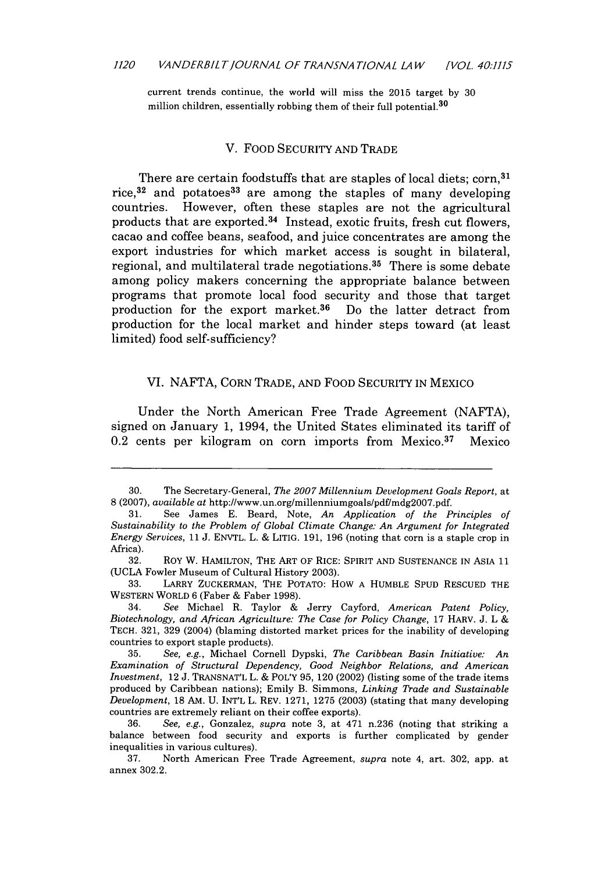current trends continue, the world will miss the 2015 target by 30 million children, essentially robbing them of their full potential. $30$ 

### V. FOOD SECURITY AND TRADE

There are certain foodstuffs that are staples of local diets; corn.<sup>31</sup> rice, $32$  and potatoes $33$  are among the staples of many developing countries. However, often these staples are not the agricultural products that are exported.<sup>34</sup> Instead, exotic fruits, fresh cut flowers, cacao and coffee beans, seafood, and juice concentrates are among the export industries for which market access is sought in bilateral, regional, and multilateral trade negotiations.<sup>35</sup> There is some debate among policy makers concerning the appropriate balance between programs that promote local food security and those that target production for the export market.<sup>36</sup> Do the latter detract from production for the local market and hinder steps toward (at least limited) food self-sufficiency?

#### VI. NAFTA, CORN TRADE, AND FOOD SECURITY IN MEXICO

Under the North American Free Trade Agreement (NAFTA), signed on January 1, 1994, the United States eliminated its tariff of  $0.2$  cents per kilogram on corn imports from Mexico.<sup>37</sup> Mexico

<sup>30.</sup> The Secretary-General, *The 2007 Millennium Development Goals Report,* at 8 (2007), *available at* http://www.un.org/millenniumgoals/pdf/mdg2007.pdf.

<sup>31.</sup> See James E. Beard, Note, *An Application of the Principles of Sustainability to the Problem of Global Climate Change: An Argument for Integrated Energy Services,* 11 J. ENVTL. L. & LITIG. 191, 196 (noting that corn is a staple crop in Africa).

<sup>32.</sup> ROY W. HAMILTON, THE ART OF RICE: SPIRIT AND SUSTENANCE IN ASIA 11 (UCLA Fowler Museum of Cultural History 2003).

<sup>33.</sup> LARRY ZUCKERMAN, THE POTATO: HOW A HUMBLE SPUD RESCUED THE WESTERN WORLD 6 (Faber & Faber 1998).

<sup>34.</sup> *See* Michael R. Taylor & Jerry Cayford, *American Patent Policy, Biotechnology, and African Agriculture: The Case for Policy Change,* 17 HARv. J. L & TECH. 321, 329 (2004) (blaming distorted market prices for the inability of developing countries to export staple products).

<sup>35.</sup> *See, e.g.,* Michael Cornell Dypski, *The Caribbean Basin Initiative: An Examination of Structural Dependency, Good Neighbor Relations, and American Investment,* 12 J. TRANSNAT'L L. & POL'Y 95, 120 (2002) (listing some of the trade items produced by Caribbean nations); Emily B. Simmons, *Linking Trade and Sustainable Development,* **18** AM. U. INT'L L. REV. 1271, 1275 (2003) (stating that many developing countries are extremely reliant on their coffee exports).

<sup>36.</sup> *See, e.g.,* Gonzalez, *supra* note 3, at 471 n.236 (noting that striking a balance between food security and exports is further complicated by gender inequalities in various cultures).

<sup>37.</sup> North American Free Trade Agreement, *supra* note 4, art. 302, app. at annex 302.2.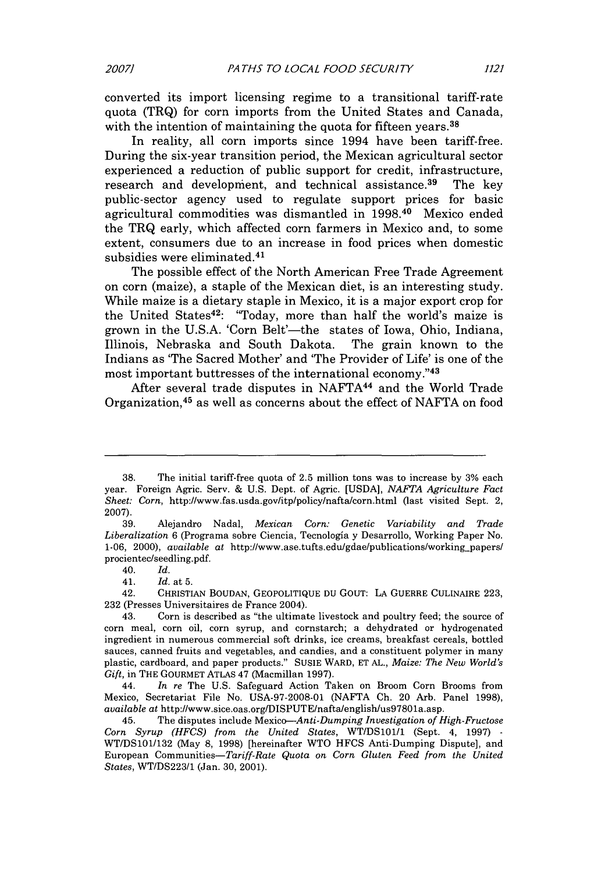converted its import licensing regime to a transitional tariff-rate quota (TRQ) for corn imports from the United States and Canada, with the intention of maintaining the quota for fifteen years.<sup>38</sup>

In reality, all corn imports since 1994 have been tariff-free. During the six-year transition period, the Mexican agricultural sector experienced a reduction of public support for credit, infrastructure, research and development, and technical assistance.<sup>39</sup> The key public-sector agency used to regulate support prices for basic agricultural commodities was dismantled in 1998.40 Mexico ended the TRQ early, which affected corn farmers in Mexico and, to some extent, consumers due to an increase in food prices when domestic subsidies were eliminated. <sup>41</sup>

The possible effect of the North American Free Trade Agreement on corn (maize), a staple of the Mexican diet, is an interesting study. While maize is a dietary staple in Mexico, it is a major export crop for the United States<sup>42</sup>: "Today, more than half the world's maize is grown in the U.S.A. 'Corn Belt'—the states of Iowa, Ohio, Indiana, Illinois, Nebraska and South Dakota. The grain known to the Indians as 'The Sacred Mother' and 'The Provider of Life' is one of the most important buttresses of the international economy."43

After several trade disputes in NAFTA<sup>44</sup> and the World Trade Organization, 45 as well as concerns about the effect of **NAFTA** on food

44. *In re* The **U.S.** Safeguard Action Taken on Broom Corn Brooms from Mexico, Secretariat File No. **USA-97-2008-01 (NAFTA Ch.** 20 Arb. Panel **1998),** *available at* http://www.sice.oas.org[DISPUTE/naftalenglish/us97801a.asp.

45. The disputes include *Mexico-Anti-Dumping Investigation of High-Fructose Corn Syrup (HFCS) from the United States,* WT/DS101I/ (Sept. 4, **1997) -** WT/DS101/132 (May **8, 1998)** [hereinafter WTO **HFCS** Anti-Dumping Dispute], and European Communities-Tariff-Rate *Quota on Corn Gluten Feed from the United States,* WT/DS223/1 (Jan. **30,** 2001).

**<sup>38.</sup>** The initial tariff-free quota of **2.5** million tons was to increase **by 3%** each year. Foreign Agric. Serv. **& U.S.** Dept. of Agric. **[USDA], NAFTA** *Agriculture Fact Sheet: Corn,* http://www.fas.usda.gov/itp/policy/nafta/corn.html **(last** visited Sept. 2, **2007).**

**<sup>39.</sup>** Alejandro Nadal, *Mexican Corn: Genetic Variability and Trade Liberalization* **6** (Programa sobre Ciencia, Tecnologia **y** Desarrollo, Working Paper No. **1-06,** 2000), *available at* http://www.ase.tufts.edu/gdae/publications/working-papers/ procientec/seedling.pdf.

<sup>40.</sup> *Id.*

<sup>41.</sup> *Id.* at **5.**

<sup>42.</sup> CHRISTIAN BOUDAN, **GEOPOLITIQUE** DU GOUT: **LA** GUERRE **CULINAIRE 223, 232** (Presses Universitaires de France 2004).

<sup>43.</sup> Corn is described as "the ultimate livestock and poultry feed; the source of corn meal, corn oil, corn syrup, and cornstarch; a dehydrated or hydrogenated ingredient in numerous commercial soft drinks, ice creams, breakfast cereals, bottled sauces, canned fruits and vegetables, and candies, and a constituent polymer in many plastic, cardboard, and paper products." **SUSIE** WARD, **ET AL.,** *Maize: The New World's Gift,* in THE **GOURMET ATLAS** 47 (Macmillan **1997).**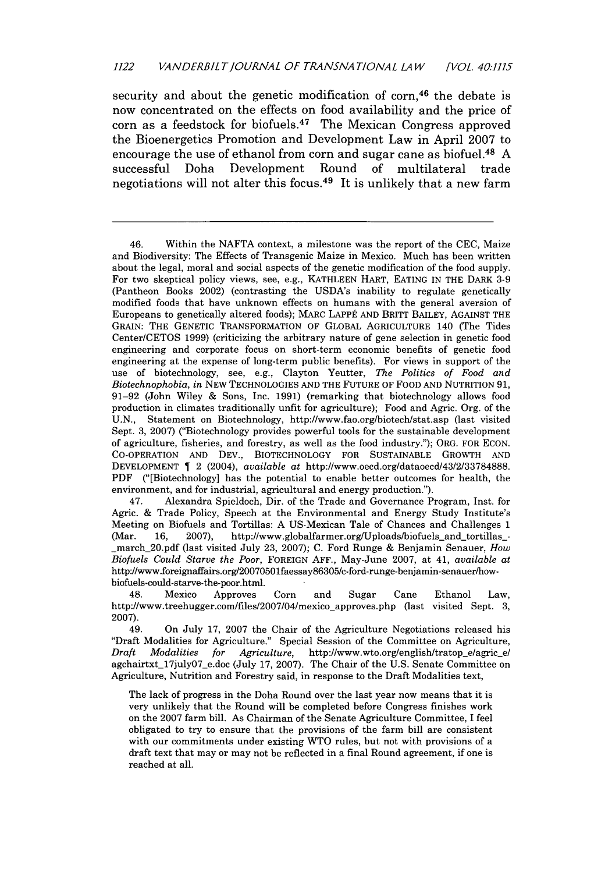security and about the genetic modification of corn,<sup>46</sup> the debate is now concentrated on the effects on food availability and the price of corn as a feedstock for biofuels.47 The Mexican Congress approved the Bioenergetics Promotion and Development Law in April 2007 to encourage the use of ethanol from corn and sugar cane as biofuel.48 A successful Doha Development Round of multilateral trade negotiations will not alter this focus.<sup>49</sup> It is unlikely that a new farm

46. Within the NAFTA context, a milestone was the report of the CEC, Maize and Biodiversity: The Effects of Transgenic Maize in Mexico. Much has been written about the legal, moral and social aspects of the genetic modification of the food supply. For two skeptical policy views, see, e.g., KATHLEEN HART, EATING IN THE DARK 3-9 (Pantheon Books 2002) (contrasting the USDA's inability to regulate genetically modified foods that have unknown effects on humans with the general aversion of Europeans to genetically altered foods); MARC LAPPÉ AND BRITT BAILEY, AGAINST THE GRAIN: THE GENETIC TRANSFORMATION OF GLOBAL AGRICULTURE 140 (The Tides Center/CETOS 1999) (criticizing the arbitrary nature of gene selection in genetic food engineering and corporate focus on short-term economic benefits of genetic food engineering at the expense of long-term public benefits). For views in support of the use of biotechnology, see, e.g., Clayton Yeutter, *The Politics of Food and Biotechnophobia, in* NEW TECHNOLOGIES AND THE FUTURE OF FOOD AND NUTRITION 91, 91-92 (John Wiley & Sons, Inc. 1991) (remarking that biotechnology allows food production in climates traditionally unfit for agriculture); Food and Agric. Org. of the U.N., Statement on Biotechnology, http://www.fao.orglbiotechlstat.asp (last visited Sept. 3, 2007) ("Biotechnology provides powerful tools for the sustainable development of agriculture, fisheries, and forestry, as well as the food industry."); ORG. FOR ECON. CO-OPERATION AND DEV., BIOTECHNOLOGY FOR SUSTAINABLE GROWTH AND DEVELOPMENT 2 (2004), *available* at http://www.oecd.org/dataoecd/43/2/33784888. PDF ("[Biotechnology] has the potential to enable better outcomes for health, the environment, and for industrial, agricultural and energy production.").

47. Alexandra Spieldoch, Dir. of the Trade and Governance Program, Inst. for Agric. & Trade Policy, Speech at the Environmental and Energy Study Institute's Meeting on Biofuels and Tortillas: A US-Mexican Tale of Chances and Challenges 1 (Mar. 16, 2007), http://www.globalfarmer.org/Uploads/biofuels-and-tortillas\_ march\_20.pdf (last visited July 23, 2007); C. Ford Runge & Benjamin Senauer, *How Biofuels Could Starve the Poor,* FOREIGN AFF., May-June 2007, at 41, *available at* http://www.foreignaffairs.org/2007050lfaessay86305/c-ford-runge-benjamin-senauer/howbiofuels-could-starve-the-poor.html.

48. Mexico Approves Corn and Sugar Cane Ethanol Law, http://www.treehugger.com/files/2007/04/mexico-approves.php (last visited Sept. 3, 2007).

49. On July 17, 2007 the Chair of the Agriculture Negotiations released his "Draft Modalities for Agriculture." Special Session of the Committee on Agriculture, *Draft Modalities for Agriculture,* http://www.wto.org/english/tratop-e/agric e/ agchairtxt\_17july07-e.doc (July 17, 2007). The Chair of the U.S. Senate Committee on Agriculture, Nutrition and Forestry said, in response to the Draft Modalities text,

The lack of progress in the Doha Round over the last year now means that it is very unlikely that the Round will be completed before Congress finishes work on the 2007 farm bill. As Chairman of the Senate Agriculture Committee, I feel obligated to try to ensure that the provisions of the farm bill are consistent with our commitments under existing WTO rules, but not with provisions of a draft text that may or may not be reflected in a final Round agreement, if one is reached at all.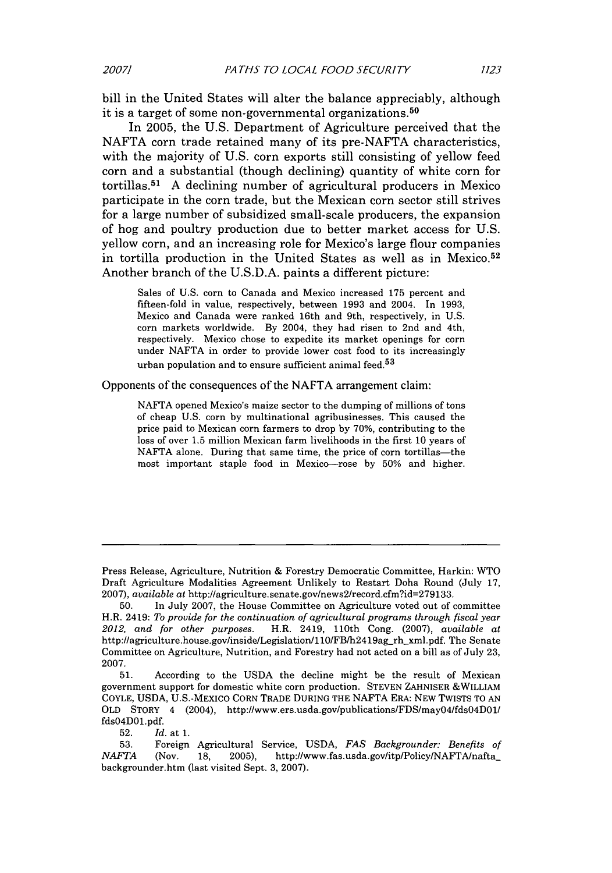*2007]*

bill in the United States will alter the balance appreciably, although it is a target of some non-governmental organizations. <sup>50</sup>

In 2005, the U.S. Department of Agriculture perceived that the NAFTA corn trade retained many of its pre-NAFTA characteristics, with the majority of U.S. corn exports still consisting of yellow feed corn and a substantial (though declining) quantity of white corn for tortillas. 51 A declining number of agricultural producers in Mexico participate in the corn trade, but the Mexican corn sector still strives for a large number of subsidized small-scale producers, the expansion of hog and poultry production due to better market access for U.S. yellow corn, and an increasing role for Mexico's large flour companies in tortilla production in the United States as well as in Mexico.<sup>52</sup> Another branch of the U.S.D.A. paints a different picture:

Sales of U.S. corn to Canada and Mexico increased 175 percent and fifteen-fold in value, respectively, between 1993 and 2004. In 1993, Mexico and Canada were ranked 16th and 9th, respectively, in U.S. corn markets worldwide. By 2004, they had risen to 2nd and 4th, respectively. Mexico chose to expedite its market openings for corn under NAFTA in order to provide lower cost food to its increasingly urban population and to ensure sufficient animal feed.<sup>53</sup>

Opponents of the consequences of the NAFTA arrangement claim:

NAFTA opened Mexico's maize sector to the dumping of millions of tons of cheap U.S. corn by multinational agribusinesses. This caused the price paid to Mexican corn farmers to drop by 70%, contributing to the loss of over 1.5 million Mexican farm livelihoods in the first 10 years of NAFTA alone. During that same time, the price of corn tortillas-the most important staple food in Mexico-rose by 50% and higher.

52. *Id.* at 1.

Press Release, Agriculture, Nutrition & Forestry Democratic Committee, Harkin: WTO Draft Agriculture Modalities Agreement Unlikely to Restart Doha Round (July 17, 2007), available at http://agriculture.senate.gov/news2/record.cfm?id=279133.

<sup>50.</sup> In July 2007, the House Committee on Agriculture voted out of committee H.R. 2419: *To provide for the continuation of agricultural programs through fiscal year 2012, and for other purposes.* H.R. 2419, 110th Cong. (2007), *available at* http://agriculture.house.gov/inside/Legislation/110/FB/h2419ag\_rh\_xml.pdf. The Senate Committee on Agriculture, Nutrition, and Forestry had not acted on a bill as of July 23, 2007.

<sup>51.</sup> According to the USDA the decline might be the result of Mexican government support for domestic white corn production. STEVEN ZAHNISER &WILLIAM COYLE, USDA, U.S.-MExICO CORN TRADE DURING THE NAFTA ERA: NEW TWISTS TO AN OLD STORY 4 (2004), http://www.ers.usda.gov/publications/FDS/mayO4/fdsO4DOl/ fds04D01.pdf.

<sup>53.</sup> Foreign Agricultural Service, USDA, *FAS Backgrounder: Benefits of NAFTA* (Nov. 18, 2005), http://www.fas.usda.gov/itp/Policy/NAFTA/naftabackgrounder.htm (last visited Sept. 3, 2007).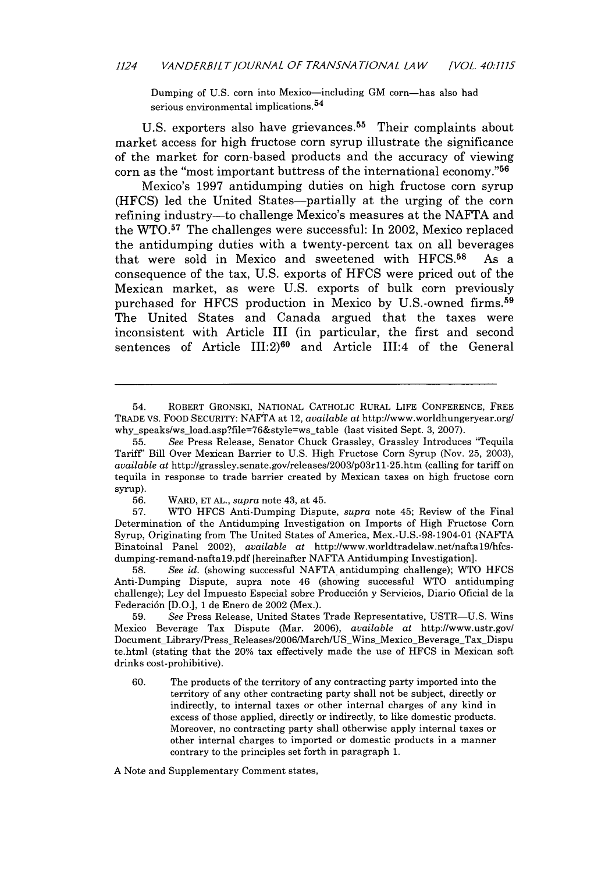Dumping of U.S. corn into Mexico-including GM corn-has also had serious environmental implications.<sup>54</sup>

U.S. exporters also have grievances.<sup>55</sup> Their complaints about market access for high fructose corn syrup illustrate the significance of the market for corn-based products and the accuracy of viewing corn as the "most important buttress of the international economy."<sup>56</sup>

Mexico's 1997 antidumping duties on high fructose corn syrup (HFCS) led the United States-partially at the urging of the corn refining industry-to challenge Mexico's measures at the NAFTA and the WTO.<sup>57</sup> The challenges were successful: In 2002, Mexico replaced the antidumping duties with a twenty-percent tax on all beverages that were sold in Mexico and sweetened with **HFCS.58** As a consequence of the tax, U.S. exports of HFCS were priced out of the Mexican market, as were U.S. exports of bulk corn previously purchased for HFCS production in Mexico by U.S.-owned firms.<sup>59</sup> The United States and Canada argued that the taxes were inconsistent with Article III (in particular, the first and second sentences of Article III:2)<sup>60</sup> and Article III:4 of the General

57. WTO HFCS Anti-Dumping Dispute, *supra* note 45; Review of the Final Determination of the Antidumping Investigation on Imports of High Fructose Corn Syrup, Originating from The United States of America, Mex.-U.S.-98-1904-01 (NAFTA Binatoinal Panel 2002), *available at* http://www.worldtradelaw.net/nafta19/hfcsdumping-remand-naftal9.pdf [hereinafter NAFTA Antidumping Investigation].

58. *See id.* (showing successful NAFTA antidumping challenge); WTO HFCS Anti-Dumping Dispute, supra note 46 (showing successful WTO antidumping challenge); Ley del Impuesto Especial sobre Producci6n y Servicios, Diario Oficial de la Federación [D.O.], 1 de Enero de 2002 (Mex.).

59. *See* Press Release, United States Trade Representative, USTR-U.S. Wins Mexico Beverage Tax Dispute (Mar. 2006), *available at* http://www.ustr.gov/ Document\_Library/Press\_Releases/2006/March/US\_Wins\_Mexico\_Beverage\_Tax\_Dispu te.html (stating that the 20% tax effectively made the use of HFCS in Mexican soft drinks cost-prohibitive).

60. The products of the territory of any contracting party imported into the territory of any other contracting party shall not be subject, directly or indirectly, to internal taxes or other internal charges of any kind in excess of those applied, directly or indirectly, to like domestic products. Moreover, no contracting party shall otherwise apply internal taxes or other internal charges to imported or domestic products in a manner contrary to the principles set forth in paragraph 1.

A Note and Supplementary Comment states,

<sup>54.</sup> ROBERT GRONSKI, NATIONAL CATHOLIC RURAL LIFE CONFERENCE, FREE TRADE vs. FOOD SECURITY: NAFTA at 12, *available at* http://www.worldhungeryear.org/ why-speaks/ws-load.asp?file=76&style=ws-table (last visited Sept. 3, 2007).

<sup>55.</sup> *See* Press Release, Senator Chuck Grassley, Grassley Introduces "Tequila Tariff' Bill Over Mexican Barrier to U.S. High Fructose Corn Syrup (Nov. 25, 2003), *available at* http://grassley.senate.gov/releases/2003/pO3rll-25.htm (calling for tariff on tequila in response to trade barrier created by Mexican taxes on high fructose corn syrup).

<sup>56.</sup> WARD, ET AL., *supra* note 43, at 45.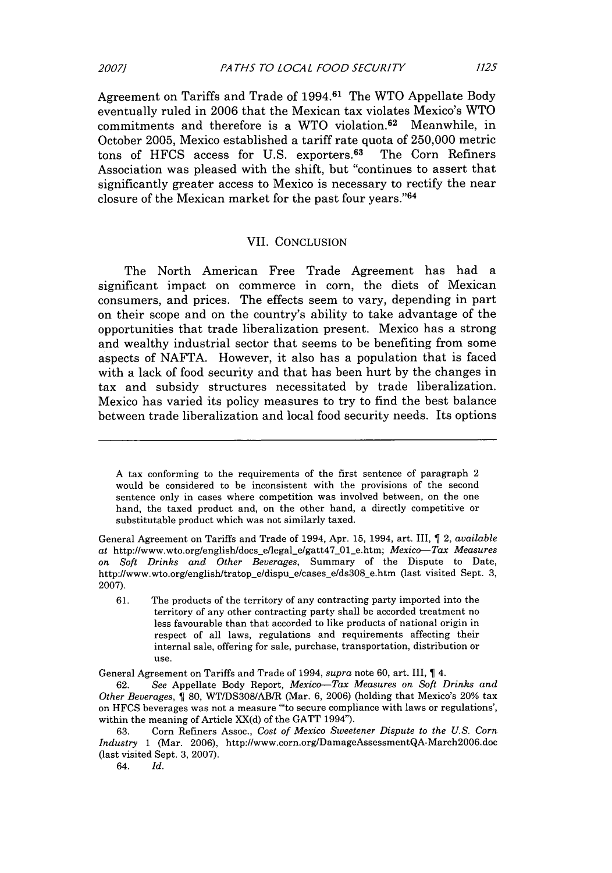Agreement on Tariffs and Trade of 1994.<sup>61</sup> The WTO Appellate Body eventually ruled in 2006 that the Mexican tax violates Mexico's WTO commitments and therefore is a WTO violation.<sup>62</sup> Meanwhile, in October 2005, Mexico established a tariff rate quota of 250,000 metric tons of HFCS access for U.S. exporters. 63 The Corn Refiners Association was pleased with the shift, but "continues to assert that significantly greater access to Mexico is necessary to rectify the near closure of the Mexican market for the past four years."<sup>64</sup>

#### VII. CONCLUSION

The North American Free Trade Agreement has had a significant impact on commerce in corn, the diets of Mexican consumers, and prices. The effects seem to vary, depending in part on their scope and on the country's ability to take advantage of the opportunities that trade liberalization present. Mexico has a strong and wealthy industrial sector that seems to be benefiting from some aspects of NAFTA. However, it also has a population that is faced with a lack of food security and that has been hurt by the changes in tax and subsidy structures necessitated by trade liberalization. Mexico has varied its policy measures to try to find the best balance between trade liberalization and local food security needs. Its options

64. *Id.*

A tax conforming to the requirements of the first sentence of paragraph 2 would be considered to be inconsistent with the provisions of the second sentence only in cases where competition was involved between, on the one hand, the taxed product and, on the other hand, a directly competitive or substitutable product which was not similarly taxed.

General Agreement on Tariffs and Trade of 1994, Apr. 15, 1994, art. III, *[2, available* at http://www.wto.org/english/docs-e/legal-e/gatt47 01\_e.htm; *Mexico--Tax Measures* on *Soft Drinks and Other Beverages,* Summary of the Dispute to Date, http://www.wto.org/english/tratop-e/dispu\_e/cases\_e/ds308\_e.htm (last visited Sept. 3, 2007).

<sup>61.</sup> The products of the territory of any contracting party imported into the territory of any other contracting party shall be accorded treatment no less favourable than that accorded to like products of national origin in respect of all laws, regulations and requirements affecting their internal sale, offering for sale, purchase, transportation, distribution or use.

General Agreement on Tariffs and Trade of 1994, *supra* note 60, art. III, 4.

<sup>62.</sup> *See* Appellate Body Report, *Mexico-Tax Measures on Soft Drinks and Other Beverages,* § 80, WT/DS308/AB/R (Mar. 6, 2006) (holding that Mexico's 20% tax on HFCS beverages was not a measure "to secure compliance with laws or regulations', within the meaning of Article XX(d) of the GATT 1994").

<sup>63.</sup> Corn Refiners Assoc., *Cost of Mexico Sweetener Dispute to the U.S. Corn Industry* **1** (Mar. 2006), http://www.corn.org/DamageAssessmentQA-March2006.doc (last visited Sept. 3, 2007).